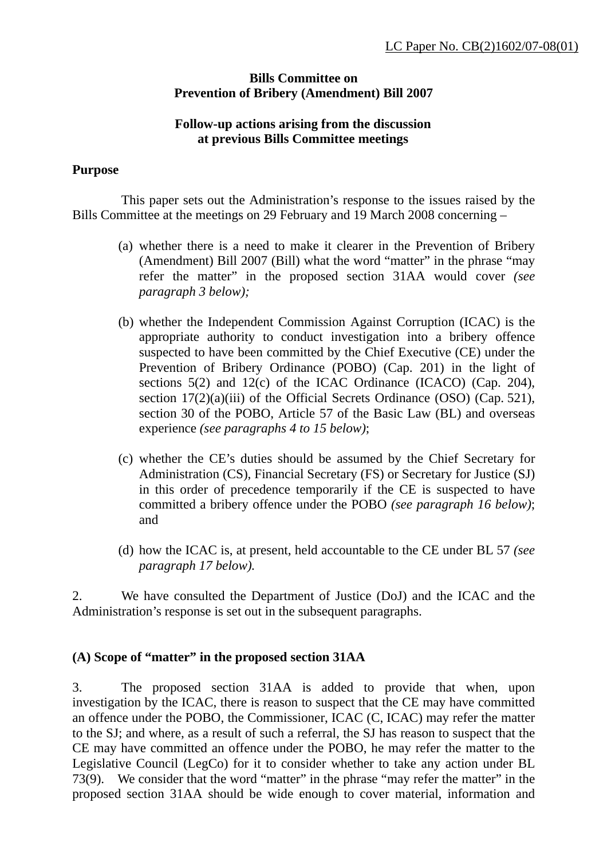### **Bills Committee on Prevention of Bribery (Amendment) Bill 2007**

#### **Follow-up actions arising from the discussion at previous Bills Committee meetings**

#### **Purpose**

 This paper sets out the Administration's response to the issues raised by the Bills Committee at the meetings on 29 February and 19 March 2008 concerning –

- (a) whether there is a need to make it clearer in the Prevention of Bribery (Amendment) Bill 2007 (Bill) what the word "matter" in the phrase "may refer the matter" in the proposed section 31AA would cover *(see paragraph 3 below);*
- (b) whether the Independent Commission Against Corruption (ICAC) is the appropriate authority to conduct investigation into a bribery offence suspected to have been committed by the Chief Executive (CE) under the Prevention of Bribery Ordinance (POBO) (Cap. 201) in the light of sections 5(2) and 12(c) of the ICAC Ordinance (ICACO) (Cap. 204), section 17(2)(a)(iii) of the Official Secrets Ordinance (OSO) (Cap. 521), section 30 of the POBO, Article 57 of the Basic Law (BL) and overseas experience *(see paragraphs 4 to 15 below)*;
- (c) whether the CE's duties should be assumed by the Chief Secretary for Administration (CS), Financial Secretary (FS) or Secretary for Justice (SJ) in this order of precedence temporarily if the CE is suspected to have committed a bribery offence under the POBO *(see paragraph 16 below)*; and
- (d) how the ICAC is, at present, held accountable to the CE under BL 57 *(see paragraph 17 below).*

2. We have consulted the Department of Justice (DoJ) and the ICAC and the Administration's response is set out in the subsequent paragraphs.

#### **(A) Scope of "matter" in the proposed section 31AA**

3. The proposed section 31AA is added to provide that when, upon investigation by the ICAC, there is reason to suspect that the CE may have committed an offence under the POBO, the Commissioner, ICAC (C, ICAC) may refer the matter to the SJ; and where, as a result of such a referral, the SJ has reason to suspect that the CE may have committed an offence under the POBO, he may refer the matter to the Legislative Council (LegCo) for it to consider whether to take any action under BL 73(9). We consider that the word "matter" in the phrase "may refer the matter" in the proposed section 31AA should be wide enough to cover material, information and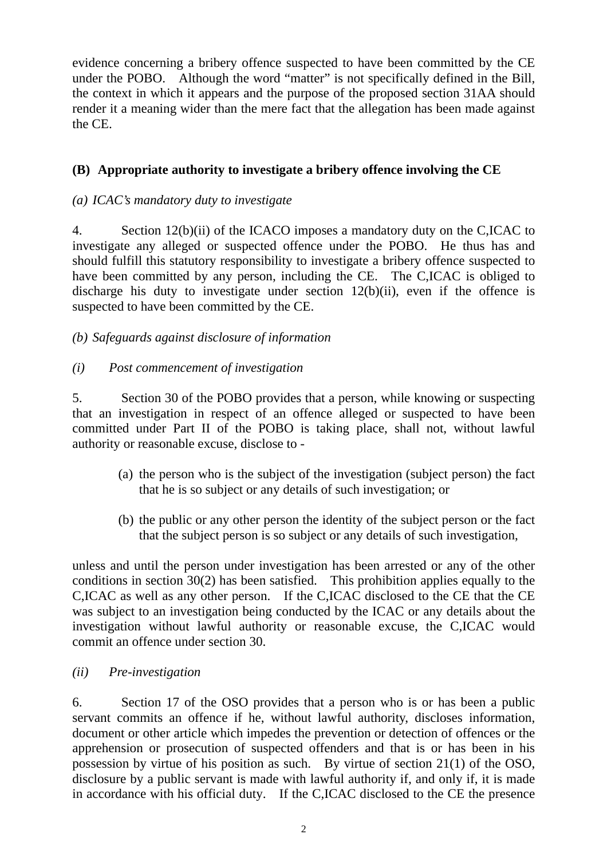evidence concerning a bribery offence suspected to have been committed by the CE under the POBO. Although the word "matter" is not specifically defined in the Bill, the context in which it appears and the purpose of the proposed section 31AA should render it a meaning wider than the mere fact that the allegation has been made against the CE.

# **(B) Appropriate authority to investigate a bribery offence involving the CE**

# *(a) ICAC's mandatory duty to investigate*

4. Section 12(b)(ii) of the ICACO imposes a mandatory duty on the C,ICAC to investigate any alleged or suspected offence under the POBO. He thus has and should fulfill this statutory responsibility to investigate a bribery offence suspected to have been committed by any person, including the CE. The C,ICAC is obliged to discharge his duty to investigate under section 12(b)(ii), even if the offence is suspected to have been committed by the CE.

*(b) Safeguards against disclosure of information* 

# *(i) Post commencement of investigation*

5. Section 30 of the POBO provides that a person, while knowing or suspecting that an investigation in respect of an offence alleged or suspected to have been committed under Part II of the POBO is taking place, shall not, without lawful authority or reasonable excuse, disclose to -

- (a) the person who is the subject of the investigation (subject person) the fact that he is so subject or any details of such investigation; or
- (b) the public or any other person the identity of the subject person or the fact that the subject person is so subject or any details of such investigation,

unless and until the person under investigation has been arrested or any of the other conditions in section 30(2) has been satisfied. This prohibition applies equally to the C,ICAC as well as any other person. If the C,ICAC disclosed to the CE that the CE was subject to an investigation being conducted by the ICAC or any details about the investigation without lawful authority or reasonable excuse, the C,ICAC would commit an offence under section 30.

# *(ii) Pre-investigation*

6. Section 17 of the OSO provides that a person who is or has been a public servant commits an offence if he, without lawful authority, discloses information, document or other article which impedes the prevention or detection of offences or the apprehension or prosecution of suspected offenders and that is or has been in his possession by virtue of his position as such. By virtue of section 21(1) of the OSO, disclosure by a public servant is made with lawful authority if, and only if, it is made in accordance with his official duty. If the C,ICAC disclosed to the CE the presence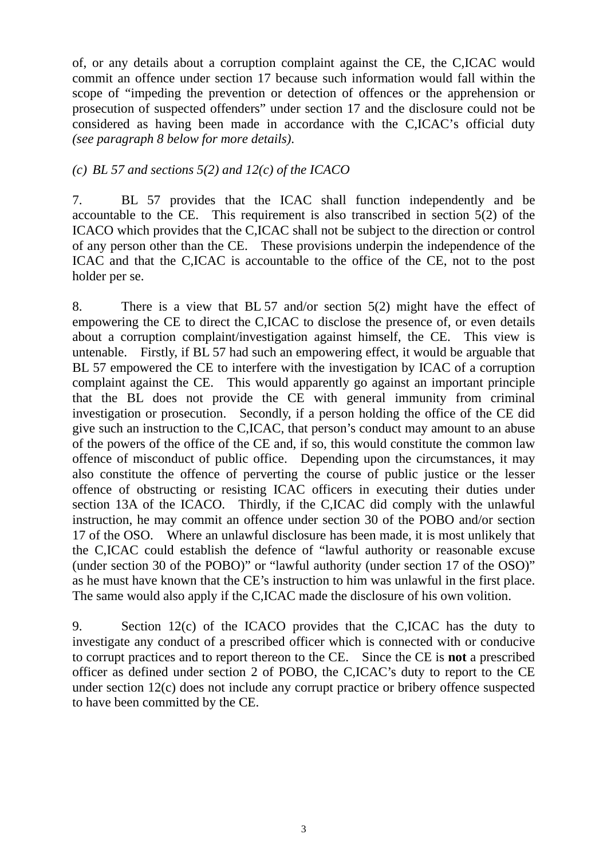of, or any details about a corruption complaint against the CE, the C,ICAC would commit an offence under section 17 because such information would fall within the scope of "impeding the prevention or detection of offences or the apprehension or prosecution of suspected offenders" under section 17 and the disclosure could not be considered as having been made in accordance with the C,ICAC's official duty *(see paragraph 8 below for more details)*.

#### *(c) BL 57 and sections 5(2) and 12(c) of the ICACO*

7. BL 57 provides that the ICAC shall function independently and be accountable to the CE. This requirement is also transcribed in section 5(2) of the ICACO which provides that the C,ICAC shall not be subject to the direction or control of any person other than the CE. These provisions underpin the independence of the ICAC and that the C,ICAC is accountable to the office of the CE, not to the post holder per se.

8. There is a view that BL 57 and/or section 5(2) might have the effect of empowering the CE to direct the C,ICAC to disclose the presence of, or even details about a corruption complaint/investigation against himself, the CE. This view is untenable. Firstly, if BL 57 had such an empowering effect, it would be arguable that BL 57 empowered the CE to interfere with the investigation by ICAC of a corruption complaint against the CE. This would apparently go against an important principle that the BL does not provide the CE with general immunity from criminal investigation or prosecution. Secondly, if a person holding the office of the CE did give such an instruction to the C,ICAC, that person's conduct may amount to an abuse of the powers of the office of the CE and, if so, this would constitute the common law offence of misconduct of public office. Depending upon the circumstances, it may also constitute the offence of perverting the course of public justice or the lesser offence of obstructing or resisting ICAC officers in executing their duties under section 13A of the ICACO. Thirdly, if the C,ICAC did comply with the unlawful instruction, he may commit an offence under section 30 of the POBO and/or section 17 of the OSO. Where an unlawful disclosure has been made, it is most unlikely that the C,ICAC could establish the defence of "lawful authority or reasonable excuse (under section 30 of the POBO)" or "lawful authority (under section 17 of the OSO)" as he must have known that the CE's instruction to him was unlawful in the first place. The same would also apply if the C,ICAC made the disclosure of his own volition.

9. Section 12(c) of the ICACO provides that the C,ICAC has the duty to investigate any conduct of a prescribed officer which is connected with or conducive to corrupt practices and to report thereon to the CE. Since the CE is **not** a prescribed officer as defined under section 2 of POBO, the C,ICAC's duty to report to the CE under section 12(c) does not include any corrupt practice or bribery offence suspected to have been committed by the CE.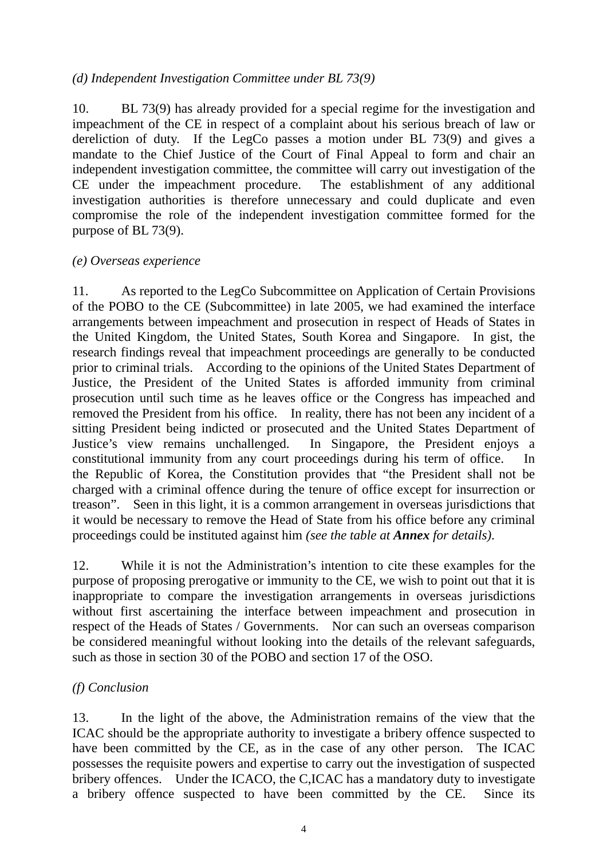### *(d) Independent Investigation Committee under BL 73(9)*

10. BL 73(9) has already provided for a special regime for the investigation and impeachment of the CE in respect of a complaint about his serious breach of law or dereliction of duty. If the LegCo passes a motion under BL 73(9) and gives a mandate to the Chief Justice of the Court of Final Appeal to form and chair an independent investigation committee, the committee will carry out investigation of the CE under the impeachment procedure. The establishment of any additional investigation authorities is therefore unnecessary and could duplicate and even compromise the role of the independent investigation committee formed for the purpose of BL 73(9).

#### *(e) Overseas experience*

11. As reported to the LegCo Subcommittee on Application of Certain Provisions of the POBO to the CE (Subcommittee) in late 2005, we had examined the interface arrangements between impeachment and prosecution in respect of Heads of States in the United Kingdom, the United States, South Korea and Singapore. In gist, the research findings reveal that impeachment proceedings are generally to be conducted prior to criminal trials. According to the opinions of the United States Department of Justice, the President of the United States is afforded immunity from criminal prosecution until such time as he leaves office or the Congress has impeached and removed the President from his office. In reality, there has not been any incident of a sitting President being indicted or prosecuted and the United States Department of Justice's view remains unchallenged. In Singapore, the President enjoys a constitutional immunity from any court proceedings during his term of office. In the Republic of Korea, the Constitution provides that "the President shall not be charged with a criminal offence during the tenure of office except for insurrection or treason". Seen in this light, it is a common arrangement in overseas jurisdictions that it would be necessary to remove the Head of State from his office before any criminal proceedings could be instituted against him *(see the table at Annex for details)*.

12. While it is not the Administration's intention to cite these examples for the purpose of proposing prerogative or immunity to the CE, we wish to point out that it is inappropriate to compare the investigation arrangements in overseas jurisdictions without first ascertaining the interface between impeachment and prosecution in respect of the Heads of States / Governments. Nor can such an overseas comparison be considered meaningful without looking into the details of the relevant safeguards, such as those in section 30 of the POBO and section 17 of the OSO.

#### *(f) Conclusion*

13. In the light of the above, the Administration remains of the view that the ICAC should be the appropriate authority to investigate a bribery offence suspected to have been committed by the CE, as in the case of any other person. The ICAC possesses the requisite powers and expertise to carry out the investigation of suspected bribery offences. Under the ICACO, the C,ICAC has a mandatory duty to investigate a bribery offence suspected to have been committed by the CE. Since its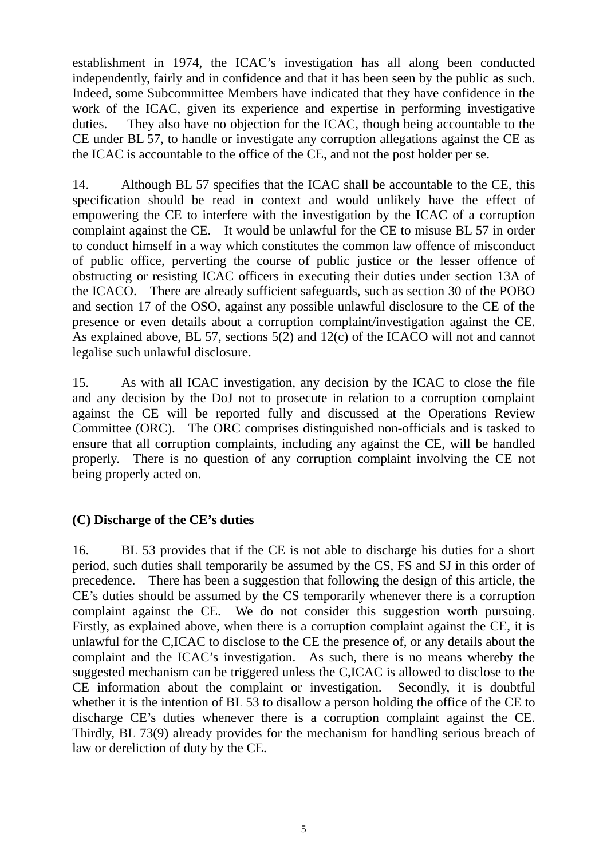establishment in 1974, the ICAC's investigation has all along been conducted independently, fairly and in confidence and that it has been seen by the public as such. Indeed, some Subcommittee Members have indicated that they have confidence in the work of the ICAC, given its experience and expertise in performing investigative duties. They also have no objection for the ICAC, though being accountable to the CE under BL 57, to handle or investigate any corruption allegations against the CE as the ICAC is accountable to the office of the CE, and not the post holder per se.

14. Although BL 57 specifies that the ICAC shall be accountable to the CE, this specification should be read in context and would unlikely have the effect of empowering the CE to interfere with the investigation by the ICAC of a corruption complaint against the CE. It would be unlawful for the CE to misuse BL 57 in order to conduct himself in a way which constitutes the common law offence of misconduct of public office, perverting the course of public justice or the lesser offence of obstructing or resisting ICAC officers in executing their duties under section 13A of the ICACO. There are already sufficient safeguards, such as section 30 of the POBO and section 17 of the OSO, against any possible unlawful disclosure to the CE of the presence or even details about a corruption complaint/investigation against the CE. As explained above, BL 57, sections 5(2) and 12(c) of the ICACO will not and cannot legalise such unlawful disclosure.

15. As with all ICAC investigation, any decision by the ICAC to close the file and any decision by the DoJ not to prosecute in relation to a corruption complaint against the CE will be reported fully and discussed at the Operations Review Committee (ORC). The ORC comprises distinguished non-officials and is tasked to ensure that all corruption complaints, including any against the CE, will be handled properly. There is no question of any corruption complaint involving the CE not being properly acted on.

#### **(C) Discharge of the CE's duties**

16. BL 53 provides that if the CE is not able to discharge his duties for a short period, such duties shall temporarily be assumed by the CS, FS and SJ in this order of precedence. There has been a suggestion that following the design of this article, the CE's duties should be assumed by the CS temporarily whenever there is a corruption complaint against the CE. We do not consider this suggestion worth pursuing. Firstly, as explained above, when there is a corruption complaint against the CE, it is unlawful for the C,ICAC to disclose to the CE the presence of, or any details about the complaint and the ICAC's investigation. As such, there is no means whereby the suggested mechanism can be triggered unless the C,ICAC is allowed to disclose to the CE information about the complaint or investigation. Secondly, it is doubtful whether it is the intention of BL 53 to disallow a person holding the office of the CE to discharge CE's duties whenever there is a corruption complaint against the CE. Thirdly, BL 73(9) already provides for the mechanism for handling serious breach of law or dereliction of duty by the CE.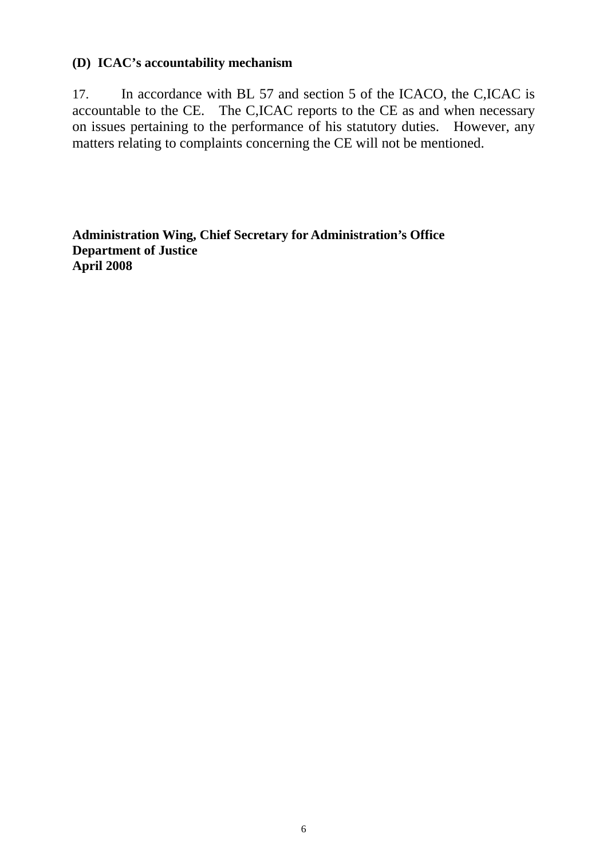### **(D) ICAC's accountability mechanism**

17. In accordance with BL 57 and section 5 of the ICACO, the C,ICAC is accountable to the CE. The C,ICAC reports to the CE as and when necessary on issues pertaining to the performance of his statutory duties. However, any matters relating to complaints concerning the CE will not be mentioned.

**Administration Wing, Chief Secretary for Administration's Office Department of Justice April 2008**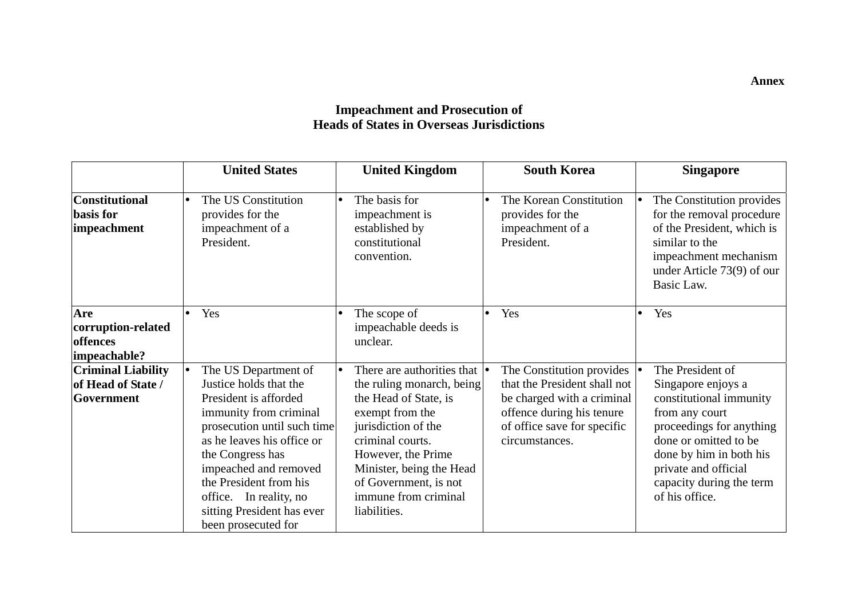#### **Impeachment and Prosecution of Heads of States in Overseas Jurisdictions**

|                                                               | <b>United States</b>                                                                                                                                                                                                                                                                                                              | <b>United Kingdom</b>                                                                                                                                                                                                                                                                      | <b>South Korea</b>                                                                                                                                                    | <b>Singapore</b>                                                                                                                                                                                                                          |
|---------------------------------------------------------------|-----------------------------------------------------------------------------------------------------------------------------------------------------------------------------------------------------------------------------------------------------------------------------------------------------------------------------------|--------------------------------------------------------------------------------------------------------------------------------------------------------------------------------------------------------------------------------------------------------------------------------------------|-----------------------------------------------------------------------------------------------------------------------------------------------------------------------|-------------------------------------------------------------------------------------------------------------------------------------------------------------------------------------------------------------------------------------------|
| <b>Constitutional</b><br>basis for<br>impeachment             | The US Constitution<br>$\bullet$<br>provides for the<br>impeachment of a<br>President.                                                                                                                                                                                                                                            | The basis for<br>$\bullet$<br>impeachment is<br>established by<br>constitutional<br>convention.                                                                                                                                                                                            | The Korean Constitution<br>provides for the<br>impeachment of a<br>President.                                                                                         | The Constitution provides<br>for the removal procedure<br>of the President, which is<br>similar to the<br>impeachment mechanism<br>under Article 73(9) of our<br>Basic Law.                                                               |
| Are<br>corruption-related<br>offences<br>impeachable?         | Yes                                                                                                                                                                                                                                                                                                                               | The scope of<br>$\bullet$<br>impeachable deeds is<br>unclear.                                                                                                                                                                                                                              | Yes                                                                                                                                                                   | Yes                                                                                                                                                                                                                                       |
| <b>Criminal Liability</b><br>of Head of State /<br>Government | The US Department of<br>$\bullet$<br>Justice holds that the<br>President is afforded<br>immunity from criminal<br>prosecution until such time<br>as he leaves his office or<br>the Congress has<br>impeached and removed<br>the President from his<br>office. In reality, no<br>sitting President has ever<br>been prosecuted for | There are authorities that $  \cdot  $<br>$\bullet$<br>the ruling monarch, being<br>the Head of State, is<br>exempt from the<br>jurisdiction of the<br>criminal courts.<br>However, the Prime<br>Minister, being the Head<br>of Government, is not<br>immune from criminal<br>liabilities. | The Constitution provides<br>that the President shall not<br>be charged with a criminal<br>offence during his tenure<br>of office save for specific<br>circumstances. | The President of<br>Singapore enjoys a<br>constitutional immunity<br>from any court<br>proceedings for anything<br>done or omitted to be<br>done by him in both his<br>private and official<br>capacity during the term<br>of his office. |